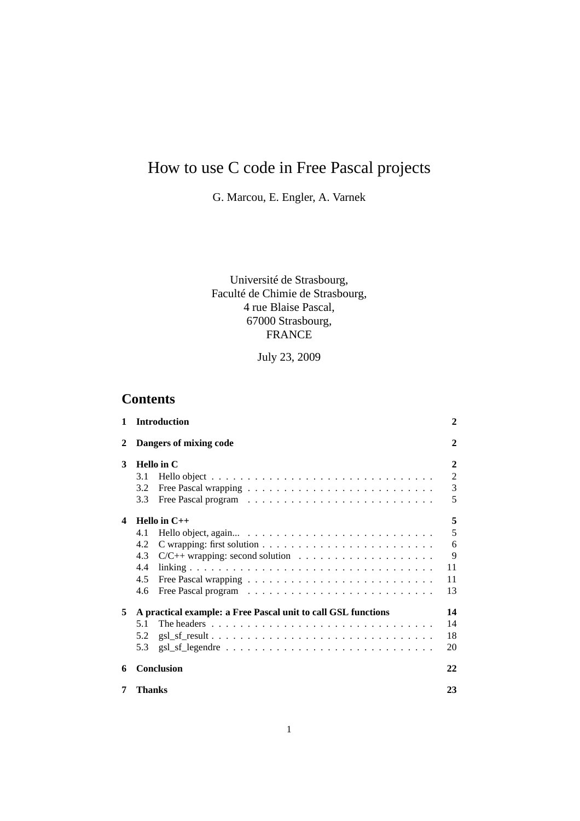# How to use C code in Free Pascal projects

G. Marcou, E. Engler, A. Varnek

Université de Strasbourg, Faculté de Chimie de Strasbourg, 4 rue Blaise Pascal, 67000 Strasbourg, FRANCE

July 23, 2009

# **Contents**

| 1 | <b>Introduction</b>                                                                                | 2              |
|---|----------------------------------------------------------------------------------------------------|----------------|
| 2 | Dangers of mixing code                                                                             | $\mathbf{2}$   |
| 3 | <b>Hello</b> in C                                                                                  | $\mathbf{2}$   |
|   | 3.1                                                                                                | $\overline{2}$ |
|   | 3.2                                                                                                | 3              |
|   | 3.3                                                                                                | 5              |
| 4 | Hello in $C++$                                                                                     | 5              |
|   | 4.1                                                                                                | 5              |
|   | 4.2                                                                                                | 6              |
|   | 4.3<br>$C/C++$ wrapping: second solution $\ldots \ldots \ldots \ldots \ldots \ldots$               | 9              |
|   | 4.4                                                                                                | 11             |
|   | 4.5                                                                                                | 11             |
|   | 4.6                                                                                                | 13             |
| 5 | A practical example: a Free Pascal unit to call GSL functions                                      | 14             |
|   | 5.1<br>The headers $\dots \dots \dots \dots \dots \dots \dots \dots \dots \dots \dots \dots \dots$ | 14             |
|   | 5.2                                                                                                | 18             |
|   | 5.3                                                                                                | 20             |
| 6 | <b>Conclusion</b>                                                                                  | 22             |
| 7 | Thanks                                                                                             | 23             |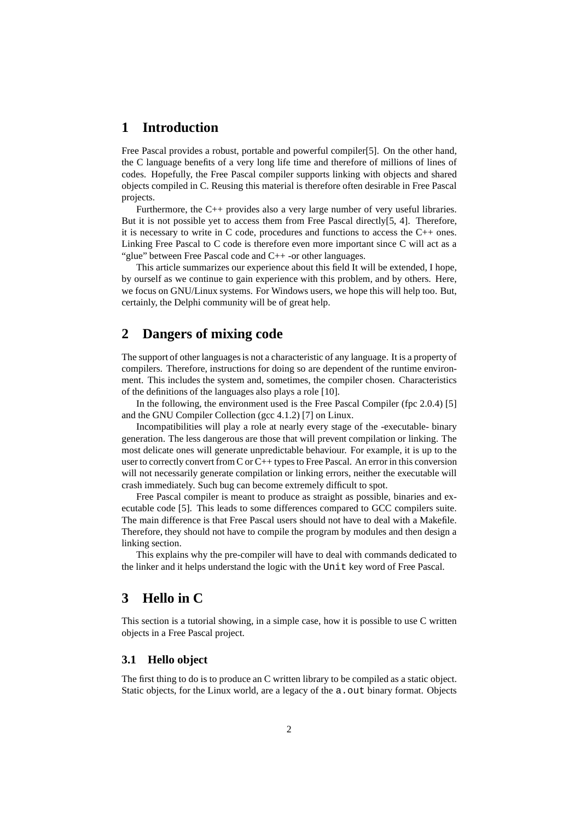# **1 Introduction**

Free Pascal provides a robust, portable and powerful compiler[5]. On the other hand, the C language benefits of a very long life time and therefore of millions of lines of codes. Hopefully, the Free Pascal compiler supports linking with objects and shared objects compiled in C. Reusing this material is therefore often desirable in Free Pascal projects.

Furthermore, the C++ provides also a very large number of very useful libraries. But it is not possible yet to access them from Free Pascal directly[5, 4]. Therefore, it is necessary to write in C code, procedures and functions to access the C++ ones. Linking Free Pascal to C code is therefore even more important since C will act as a "glue" between Free Pascal code and C++ -or other languages.

This article summarizes our experience about this field It will be extended, I hope, by ourself as we continue to gain experience with this problem, and by others. Here, we focus on GNU/Linux systems. For Windows users, we hope this will help too. But, certainly, the Delphi community will be of great help.

# **2 Dangers of mixing code**

The support of other languages is not a characteristic of any language. It is a property of compilers. Therefore, instructions for doing so are dependent of the runtime environment. This includes the system and, sometimes, the compiler chosen. Characteristics of the definitions of the languages also plays a role [10].

In the following, the environment used is the Free Pascal Compiler (fpc 2.0.4) [5] and the GNU Compiler Collection (gcc 4.1.2) [7] on Linux.

Incompatibilities will play a role at nearly every stage of the -executable- binary generation. The less dangerous are those that will prevent compilation or linking. The most delicate ones will generate unpredictable behaviour. For example, it is up to the user to correctly convert from C or C++ types to Free Pascal. An error in this conversion will not necessarily generate compilation or linking errors, neither the executable will crash immediately. Such bug can become extremely difficult to spot.

Free Pascal compiler is meant to produce as straight as possible, binaries and executable code [5]. This leads to some differences compared to GCC compilers suite. The main difference is that Free Pascal users should not have to deal with a Makefile. Therefore, they should not have to compile the program by modules and then design a linking section.

This explains why the pre-compiler will have to deal with commands dedicated to the linker and it helps understand the logic with the Unit key word of Free Pascal.

# **3 Hello in C**

This section is a tutorial showing, in a simple case, how it is possible to use C written objects in a Free Pascal project.

#### **3.1 Hello object**

The first thing to do is to produce an C written library to be compiled as a static object. Static objects, for the Linux world, are a legacy of the a. out binary format. Objects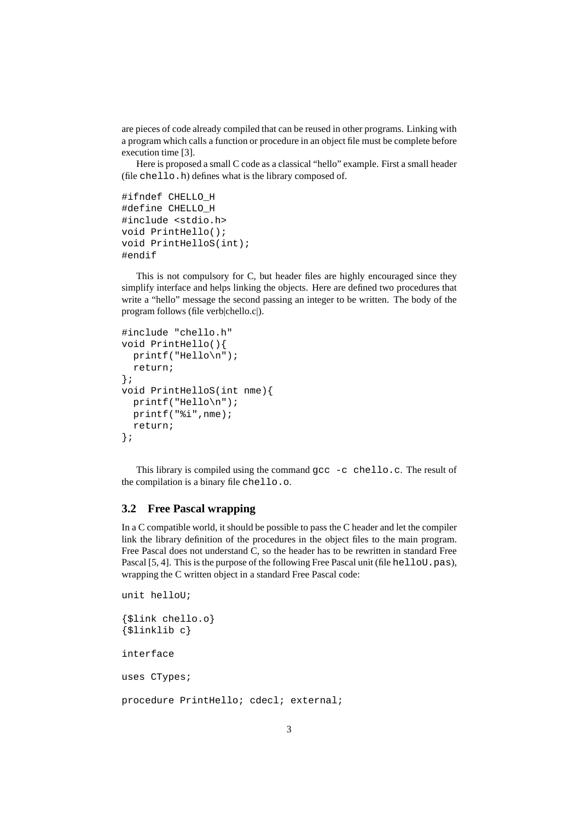are pieces of code already compiled that can be reused in other programs. Linking with a program which calls a function or procedure in an object file must be complete before execution time [3].

Here is proposed a small C code as a classical "hello" example. First a small header (file chello.h) defines what is the library composed of.

```
#ifndef CHELLO_H
#define CHELLO_H
#include <stdio.h>
void PrintHello();
void PrintHelloS(int);
#endif
```
This is not compulsory for C, but header files are highly encouraged since they simplify interface and helps linking the objects. Here are defined two procedures that write a "hello" message the second passing an integer to be written. The body of the program follows (file verb|chello.c|).

```
#include "chello.h"
void PrintHello(){
 printf("Hello\n");
 return;
};
void PrintHelloS(int nme){
 printf("Hello\n");
 printf("%i",nme);
 return;
};
```
This library is compiled using the command gcc -c chello.c. The result of the compilation is a binary file chello.o.

#### **3.2 Free Pascal wrapping**

In a C compatible world, it should be possible to pass the C header and let the compiler link the library definition of the procedures in the object files to the main program. Free Pascal does not understand C, so the header has to be rewritten in standard Free Pascal [5, 4]. This is the purpose of the following Free Pascal unit (file helloU.pas), wrapping the C written object in a standard Free Pascal code:

```
unit helloU;
{$link chello.o}
{$linklib c}
interface
uses CTypes;
procedure PrintHello; cdecl; external;
```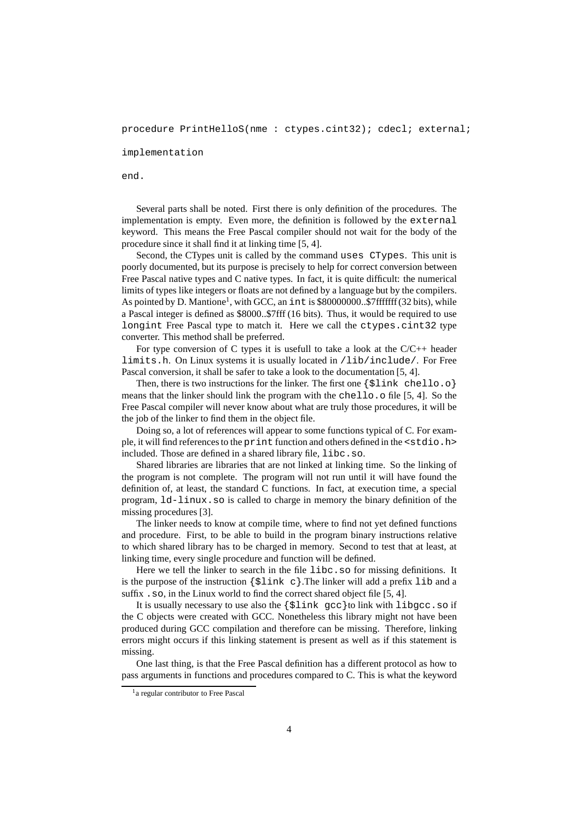procedure PrintHelloS(nme : ctypes.cint32); cdecl; external;

implementation

end.

Several parts shall be noted. First there is only definition of the procedures. The implementation is empty. Even more, the definition is followed by the external keyword. This means the Free Pascal compiler should not wait for the body of the procedure since it shall find it at linking time [5, 4].

Second, the CTypes unit is called by the command uses CTypes. This unit is poorly documented, but its purpose is precisely to help for correct conversion between Free Pascal native types and C native types. In fact, it is quite difficult: the numerical limits of types like integers or floats are not defined by a language but by the compilers. As pointed by D. Mantione<sup>1</sup>, with GCC, an int is \$80000000..\$7fffffff (32 bits), while a Pascal integer is defined as \$8000..\$7fff (16 bits). Thus, it would be required to use longint Free Pascal type to match it. Here we call the ctypes.cint32 type converter. This method shall be preferred.

For type conversion of C types it is usefull to take a look at the  $C/C++$  header limits.h. On Linux systems it is usually located in /lib/include/. For Free Pascal conversion, it shall be safer to take a look to the documentation [5, 4].

Then, there is two instructions for the linker. The first one  $\{\text{Slink} \text{ chello.}\text{o}\}$ means that the linker should link the program with the chello.o file [5, 4]. So the Free Pascal compiler will never know about what are truly those procedures, it will be the job of the linker to find them in the object file.

Doing so, a lot of references will appear to some functions typical of C. For example, it will find references to the print function and others defined in the <stdio.h> included. Those are defined in a shared library file, libc.so.

Shared libraries are libraries that are not linked at linking time. So the linking of the program is not complete. The program will not run until it will have found the definition of, at least, the standard C functions. In fact, at execution time, a special program, ld-linux.so is called to charge in memory the binary definition of the missing procedures [3].

The linker needs to know at compile time, where to find not yet defined functions and procedure. First, to be able to build in the program binary instructions relative to which shared library has to be charged in memory. Second to test that at least, at linking time, every single procedure and function will be defined.

Here we tell the linker to search in the file libc.so for missing definitions. It is the purpose of the instruction  $\{\xi \text{link } c\}$ . The linker will add a prefix lib and a suffix .so, in the Linux world to find the correct shared object file [5, 4].

It is usually necessary to use also the {\$link gcc}to link with libgcc.so if the C objects were created with GCC. Nonetheless this library might not have been produced during GCC compilation and therefore can be missing. Therefore, linking errors might occurs if this linking statement is present as well as if this statement is missing.

One last thing, is that the Free Pascal definition has a different protocol as how to pass arguments in functions and procedures compared to C. This is what the keyword

<sup>&</sup>lt;sup>1</sup> a regular contributor to Free Pascal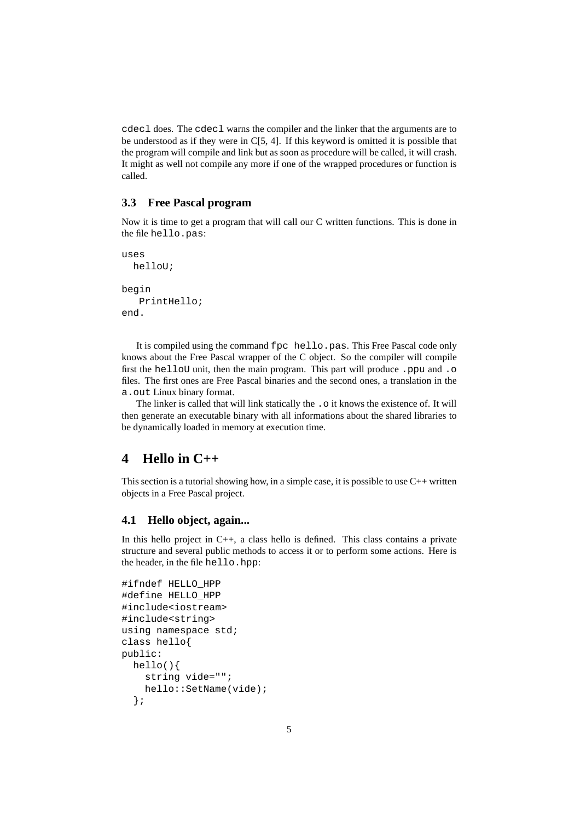cdecl does. The cdecl warns the compiler and the linker that the arguments are to be understood as if they were in C[5, 4]. If this keyword is omitted it is possible that the program will compile and link but as soon as procedure will be called, it will crash. It might as well not compile any more if one of the wrapped procedures or function is called.

### **3.3 Free Pascal program**

Now it is time to get a program that will call our C written functions. This is done in the file hello.pas:

```
uses
  helloU;
begin
   PrintHello;
end.
```
It is compiled using the command fpc hello.pas. This Free Pascal code only knows about the Free Pascal wrapper of the C object. So the compiler will compile first the helloU unit, then the main program. This part will produce .ppu and .o files. The first ones are Free Pascal binaries and the second ones, a translation in the a.out Linux binary format.

The linker is called that will link statically the . o it knows the existence of. It will then generate an executable binary with all informations about the shared libraries to be dynamically loaded in memory at execution time.

# **4 Hello in C++**

This section is a tutorial showing how, in a simple case, it is possible to use  $C_{++}$  written objects in a Free Pascal project.

### **4.1 Hello object, again...**

In this hello project in  $C_{++}$ , a class hello is defined. This class contains a private structure and several public methods to access it or to perform some actions. Here is the header, in the file hello.hpp:

```
#ifndef HELLO_HPP
#define HELLO_HPP
#include<iostream>
#include<string>
using namespace std;
class hello{
public:
 hello(){
    string vide="";
    hello::SetName(vide);
  };
```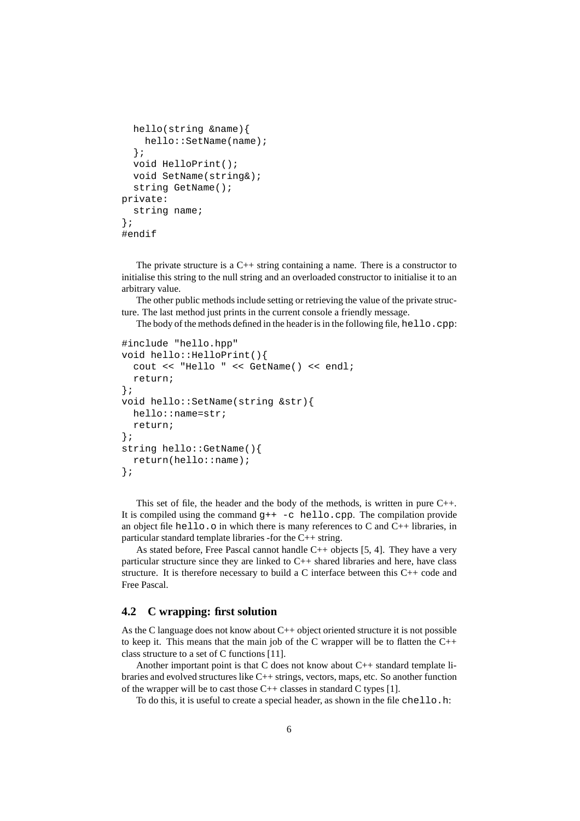```
hello(string &name){
    hello::SetName(name);
  };
  void HelloPrint();
  void SetName(string&);
  string GetName();
private:
  string name;
};
#endif
```
The private structure is a  $C_{++}$  string containing a name. There is a constructor to initialise this string to the null string and an overloaded constructor to initialise it to an arbitrary value.

The other public methods include setting or retrieving the value of the private structure. The last method just prints in the current console a friendly message.

The body of the methods defined in the header is in the following file, hello.cpp:

```
#include "hello.hpp"
void hello::HelloPrint(){
  cout << "Hello " << GetName() << endl;
  return;
};
void hello::SetName(string &str){
 hello::name=str;
 return;
};
string hello::GetName(){
  return(hello::name);
};
```
This set of file, the header and the body of the methods, is written in pure  $C_{++}$ . It is compiled using the command  $g++ -c$  hello.cpp. The compilation provide an object file hello.o in which there is many references to C and C++ libraries, in particular standard template libraries -for the C++ string.

As stated before, Free Pascal cannot handle C++ objects [5, 4]. They have a very particular structure since they are linked to C++ shared libraries and here, have class structure. It is therefore necessary to build a C interface between this C++ code and Free Pascal.

#### **4.2 C wrapping: first solution**

As the C language does not know about C++ object oriented structure it is not possible to keep it. This means that the main job of the C wrapper will be to flatten the  $C_{++}$ class structure to a set of C functions [11].

Another important point is that C does not know about C++ standard template libraries and evolved structures like C++ strings, vectors, maps, etc. So another function of the wrapper will be to cast those  $C_{++}$  classes in standard C types [1].

To do this, it is useful to create a special header, as shown in the file chello.h: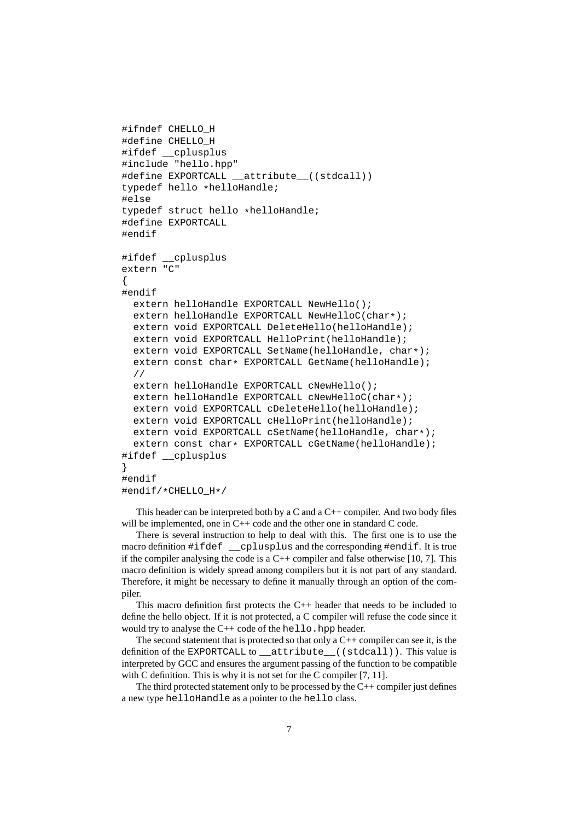```
#ifndef CHELLO_H
#define CHELLO_H
#ifdef __cplusplus
#include "hello.hpp"
#define EXPORTCALL __attribute__((stdcall))
typedef hello *helloHandle;
#else
typedef struct hello *helloHandle;
#define EXPORTCALL
#endif
#ifdef __cplusplus
extern "C"
{
#endif
 extern helloHandle EXPORTCALL NewHello();
 extern helloHandle EXPORTCALL NewHelloC(char*);
 extern void EXPORTCALL DeleteHello(helloHandle);
  extern void EXPORTCALL HelloPrint(helloHandle);
 extern void EXPORTCALL SetName(helloHandle, char*);
 extern const char* EXPORTCALL GetName(helloHandle);
  //
 extern helloHandle EXPORTCALL cNewHello();
 extern helloHandle EXPORTCALL cNewHelloC(char*);
 extern void EXPORTCALL cDeleteHello(helloHandle);
 extern void EXPORTCALL cHelloPrint(helloHandle);
  extern void EXPORTCALL cSetName(helloHandle, char*);
  extern const char* EXPORTCALL cGetName(helloHandle);
#ifdef __cplusplus
}
#endif
#endif/*CHELLO_H*/
```
This header can be interpreted both by a C and a  $C++$  compiler. And two body files will be implemented, one in C++ code and the other one in standard C code.

There is several instruction to help to deal with this. The first one is to use the macro definition #ifdef \_\_cplusplus and the corresponding #endif. It is true if the compiler analysing the code is a  $C++$  compiler and false otherwise [10, 7]. This macro definition is widely spread among compilers but it is not part of any standard. Therefore, it might be necessary to define it manually through an option of the compiler.

This macro definition first protects the C++ header that needs to be included to define the hello object. If it is not protected, a C compiler will refuse the code since it would try to analyse the  $C++$  code of the hello.hpp header.

The second statement that is protected so that only a  $C++$  compiler can see it, is the definition of the EXPORTCALL to \_\_attribute\_\_((stdcall)). This value is interpreted by GCC and ensures the argument passing of the function to be compatible with C definition. This is why it is not set for the C compiler [7, 11].

The third protected statement only to be processed by the C++ compiler just defines a new type helloHandle as a pointer to the hello class.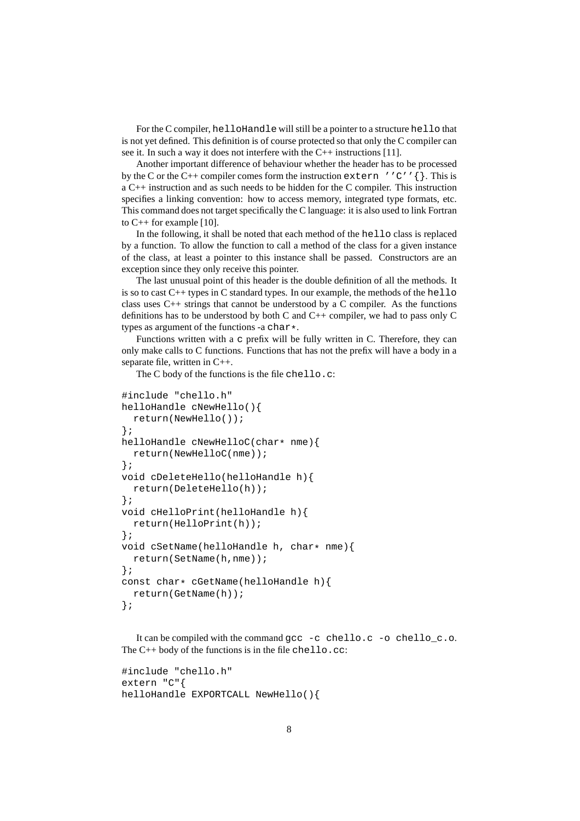For the C compiler, helloHandle will still be a pointer to a structure hello that is not yet defined. This definition is of course protected so that only the C compiler can see it. In such a way it does not interfere with the C++ instructions [11].

Another important difference of behaviour whether the header has to be processed by the C or the C++ compiler comes form the instruction extern ''C''  $\{\}$ . This is a C++ instruction and as such needs to be hidden for the C compiler. This instruction specifies a linking convention: how to access memory, integrated type formats, etc. This command does not target specifically the C language: it is also used to link Fortran to C++ for example [10].

In the following, it shall be noted that each method of the hello class is replaced by a function. To allow the function to call a method of the class for a given instance of the class, at least a pointer to this instance shall be passed. Constructors are an exception since they only receive this pointer.

The last unusual point of this header is the double definition of all the methods. It is so to cast  $C_{++}$  types in C standard types. In our example, the methods of the hello class uses  $C_{++}$  strings that cannot be understood by a C compiler. As the functions definitions has to be understood by both C and C++ compiler, we had to pass only C types as argument of the functions -a char\*.

Functions written with a c prefix will be fully written in C. Therefore, they can only make calls to C functions. Functions that has not the prefix will have a body in a separate file, written in C++.

The C body of the functions is the file chello.c:

```
#include "chello.h"
helloHandle cNewHello(){
 return(NewHello());
};
helloHandle cNewHelloC(char* nme){
  return(NewHelloC(nme));
};
void cDeleteHello(helloHandle h){
  return(DeleteHello(h));
};
void cHelloPrint(helloHandle h){
  return(HelloPrint(h));
};
void cSetName(helloHandle h, char* nme){
 return(SetName(h,nme));
};
const char* cGetName(helloHandle h) {
  return(GetName(h));
};
```
It can be compiled with the command gcc -c chello.c -o chello\_c.o. The C++ body of the functions is in the file chello.cc:

```
#include "chello.h"
extern "C"{
helloHandle EXPORTCALL NewHello(){
```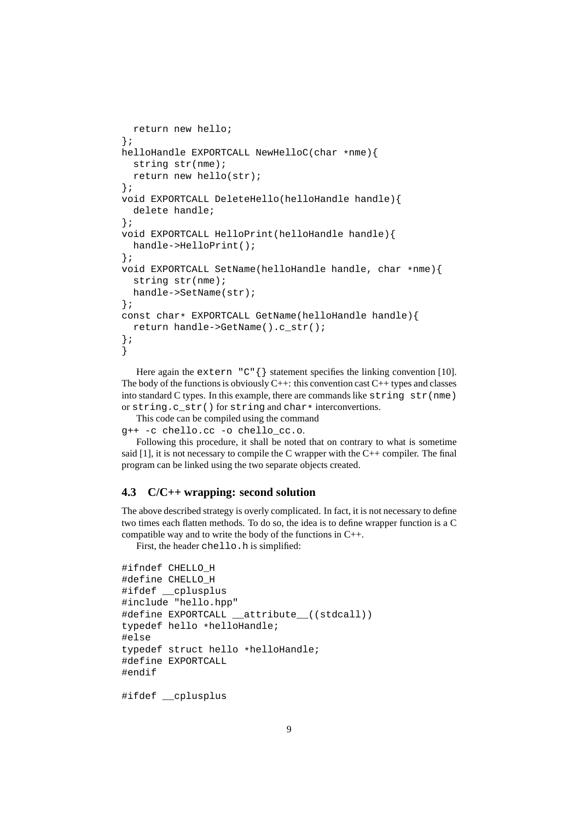```
return new hello;
};
helloHandle EXPORTCALL NewHelloC(char *nme){
  string str(nme);
 return new hello(str);
};
void EXPORTCALL DeleteHello(helloHandle handle){
 delete handle;
};
void EXPORTCALL HelloPrint(helloHandle handle){
 handle->HelloPrint();
};
void EXPORTCALL SetName(helloHandle handle, char *nme){
  string str(nme);
 handle->SetName(str);
};
const char* EXPORTCALL GetName(helloHandle handle){
 return handle->GetName().c_str();
};
}
```
Here again the extern  $C \uparrow \{\}$  statement specifies the linking convention [10]. The body of the functions is obviously  $C++$ : this convention cast  $C++$  types and classes into standard C types. In this example, there are commands like string str(nme) or string.c\_str() for string and char\* interconvertions.

This code can be compiled using the command

g++ -c chello.cc -o chello\_cc.o.

Following this procedure, it shall be noted that on contrary to what is sometime said  $[1]$ , it is not necessary to compile the C wrapper with the  $C++$  compiler. The final program can be linked using the two separate objects created.

#### **4.3 C/C++ wrapping: second solution**

The above described strategy is overly complicated. In fact, it is not necessary to define two times each flatten methods. To do so, the idea is to define wrapper function is a C compatible way and to write the body of the functions in C++.

First, the header chello.h is simplified:

```
#ifndef CHELLO_H
#define CHELLO_H
#ifdef __cplusplus
#include "hello.hpp"
#define EXPORTCALL __attribute__((stdcall))
typedef hello *helloHandle;
#else
typedef struct hello *helloHandle;
#define EXPORTCALL
#endif
```
#ifdef \_\_cplusplus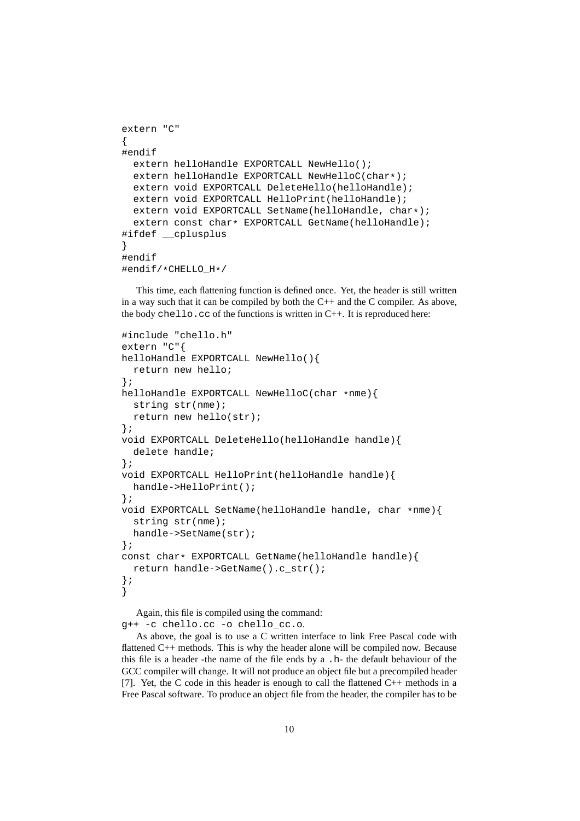```
extern "C"
{
#endif
 extern helloHandle EXPORTCALL NewHello();
 extern helloHandle EXPORTCALL NewHelloC(char*);
 extern void EXPORTCALL DeleteHello(helloHandle);
 extern void EXPORTCALL HelloPrint(helloHandle);
 extern void EXPORTCALL SetName(helloHandle, char*);
  extern const char* EXPORTCALL GetName(helloHandle);
#ifdef __cplusplus
}
#endif
#endif/*CHELLO_H*/
```
This time, each flattening function is defined once. Yet, the header is still written in a way such that it can be compiled by both the  $C++$  and the  $C$  compiler. As above, the body chello.cc of the functions is written in  $C_{++}$ . It is reproduced here:

```
#include "chello.h"
extern "C"{
helloHandle EXPORTCALL NewHello(){
  return new hello;
};
helloHandle EXPORTCALL NewHelloC(char *nme){
 string str(nme);
 return new hello(str);
};
void EXPORTCALL DeleteHello(helloHandle handle){
  delete handle;
};
void EXPORTCALL HelloPrint(helloHandle handle){
 handle->HelloPrint();
};
void EXPORTCALL SetName(helloHandle handle, char *nme){
  string str(nme);
 handle->SetName(str);
};
const char* EXPORTCALL GetName(helloHandle handle){
 return handle->GetName().c_str();
};
}
```
Again, this file is compiled using the command: g++ -c chello.cc -o chello\_cc.o.

As above, the goal is to use a C written interface to link Free Pascal code with flattened C++ methods. This is why the header alone will be compiled now. Because this file is a header -the name of the file ends by a .h- the default behaviour of the GCC compiler will change. It will not produce an object file but a precompiled header [7]. Yet, the C code in this header is enough to call the flattened C++ methods in a Free Pascal software. To produce an object file from the header, the compiler has to be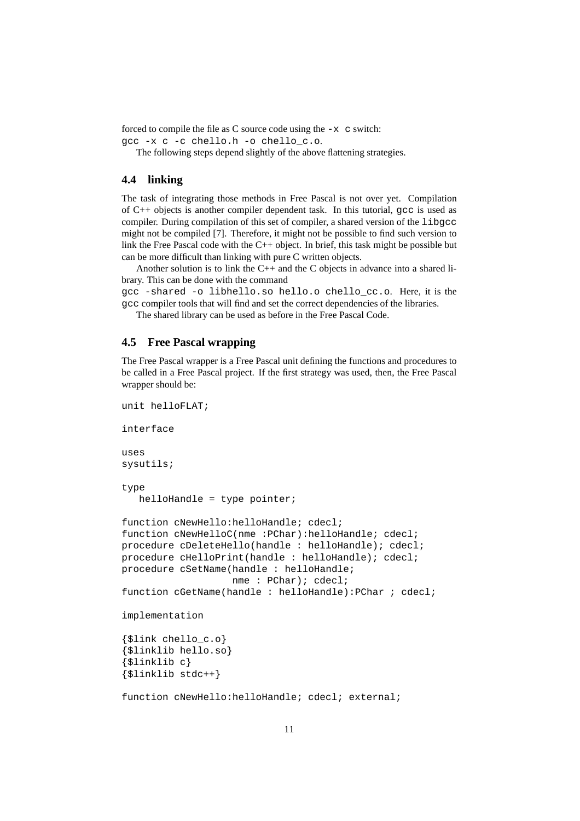forced to compile the file as C source code using the  $-x$  c switch:

```
gcc -x c -c chello.h -o chello_c.o.
```
The following steps depend slightly of the above flattening strategies.

### **4.4 linking**

The task of integrating those methods in Free Pascal is not over yet. Compilation of  $C_{++}$  objects is another compiler dependent task. In this tutorial,  $\alpha$ cc is used as compiler. During compilation of this set of compiler, a shared version of the libgcc might not be compiled [7]. Therefore, it might not be possible to find such version to link the Free Pascal code with the C++ object. In brief, this task might be possible but can be more difficult than linking with pure C written objects.

Another solution is to link the  $C++$  and the C objects in advance into a shared library. This can be done with the command

gcc -shared -o libhello.so hello.o chello\_cc.o. Here, it is the gcc compiler tools that will find and set the correct dependencies of the libraries.

The shared library can be used as before in the Free Pascal Code.

#### **4.5 Free Pascal wrapping**

The Free Pascal wrapper is a Free Pascal unit defining the functions and procedures to be called in a Free Pascal project. If the first strategy was used, then, the Free Pascal wrapper should be:

```
unit helloFLAT;
interface
uses
sysutils;
type
  helloHandle = type pointer;
function cNewHello:helloHandle; cdecl;
function cNewHelloC(nme : PChar): helloHandle; cdecl;
procedure cDeleteHello(handle : helloHandle); cdecl;
procedure cHelloPrint(handle : helloHandle); cdecl;
procedure cSetName(handle : helloHandle;
                   nme : PChar); cdecl;
function cGetName(handle : helloHandle):PChar ; cdecl;
implementation
{$link chello_c.o}
{$linklib hello.so}
{$linklib c}
{$linklib stdc++}
function cNewHello:helloHandle; cdecl; external;
```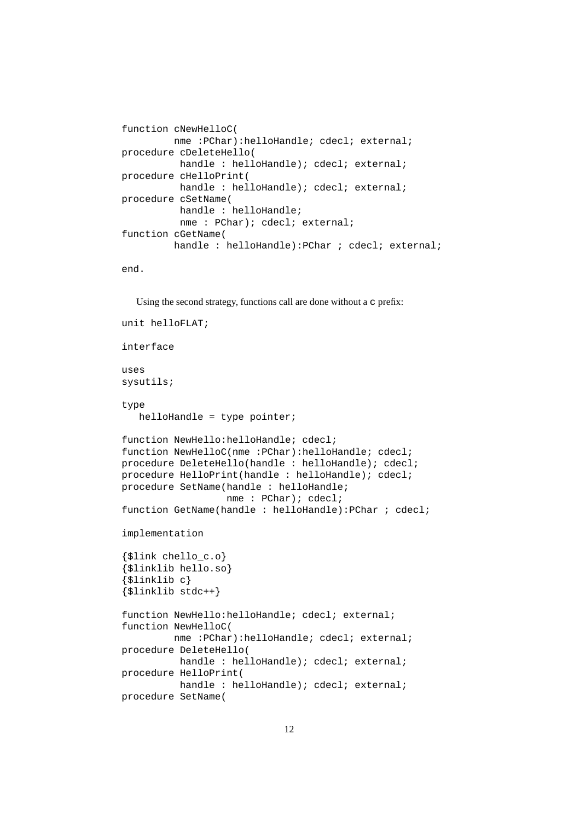```
function cNewHelloC(
        nme :PChar):helloHandle; cdecl; external;
procedure cDeleteHello(
         handle : helloHandle); cdecl; external;
procedure cHelloPrint(
         handle : helloHandle); cdecl; external;
procedure cSetName(
         handle : helloHandle;
         nme : PChar); cdecl; external;
function cGetName(
         handle : helloHandle):PChar ; cdecl; external;
end.
```
Using the second strategy, functions call are done without a c prefix:

```
unit helloFLAT;
interface
uses
sysutils;
type
   helloHandle = type pointer;
function NewHello:helloHandle; cdecl;
function NewHelloC(nme : PChar): helloHandle; cdecl;
procedure DeleteHello(handle : helloHandle); cdecl;
procedure HelloPrint(handle : helloHandle); cdecl;
procedure SetName(handle : helloHandle;
                  nme : PChar); cdecl;
function GetName(handle : helloHandle): PChar ; cdecl;
implementation
{$link chello_c.o}
{$linklib hello.so}
{$linklib c}
{$linklib stdc++}
function NewHello:helloHandle; cdecl; external;
function NewHelloC(
         nme :PChar):helloHandle; cdecl; external;
procedure DeleteHello(
          handle : helloHandle); cdecl; external;
procedure HelloPrint(
          handle : helloHandle); cdecl; external;
procedure SetName(
```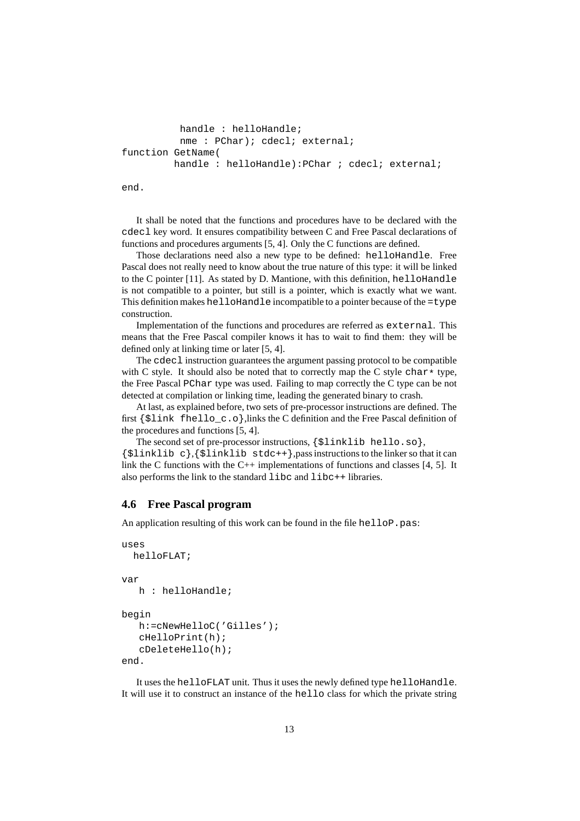```
handle : helloHandle;
         nme : PChar); cdecl; external;
function GetName(
        handle : helloHandle): PChar ; cdecl; external;
```
end.

It shall be noted that the functions and procedures have to be declared with the cdecl key word. It ensures compatibility between C and Free Pascal declarations of functions and procedures arguments [5, 4]. Only the C functions are defined.

Those declarations need also a new type to be defined: helloHandle. Free Pascal does not really need to know about the true nature of this type: it will be linked to the C pointer  $[11]$ . As stated by D. Mantione, with this definition, helloHandle is not compatible to a pointer, but still is a pointer, which is exactly what we want. This definition makes helloHandle incompatible to a pointer because of the =type construction.

Implementation of the functions and procedures are referred as external. This means that the Free Pascal compiler knows it has to wait to find them: they will be defined only at linking time or later [5, 4].

The cdecl instruction guarantees the argument passing protocol to be compatible with C style. It should also be noted that to correctly map the C style char  $*$  type, the Free Pascal PChar type was used. Failing to map correctly the C type can be not detected at compilation or linking time, leading the generated binary to crash.

At last, as explained before, two sets of pre-processor instructions are defined. The first {\$link fhello\_c.o},links the C definition and the Free Pascal definition of the procedures and functions [5, 4].

The second set of pre-processor instructions, {\$linklib hello.so},  ${\sinh\lambda} c$ ,  ${\sinh\lambda}$  inklib stdc++}, pass instructions to the linker so that it can link the C functions with the  $C_{++}$  implementations of functions and classes [4, 5]. It also performs the link to the standard libc and libc++ libraries.

#### **4.6 Free Pascal program**

An application resulting of this work can be found in the file helloP.pas:

```
uses
  helloFLAT;
var
   h : helloHandle;
begin
   h:=cNewHelloC('Gilles');
   cHelloPrint(h);
   cDeleteHello(h);
end.
```
It uses the helloFLAT unit. Thus it uses the newly defined type helloHandle. It will use it to construct an instance of the hello class for which the private string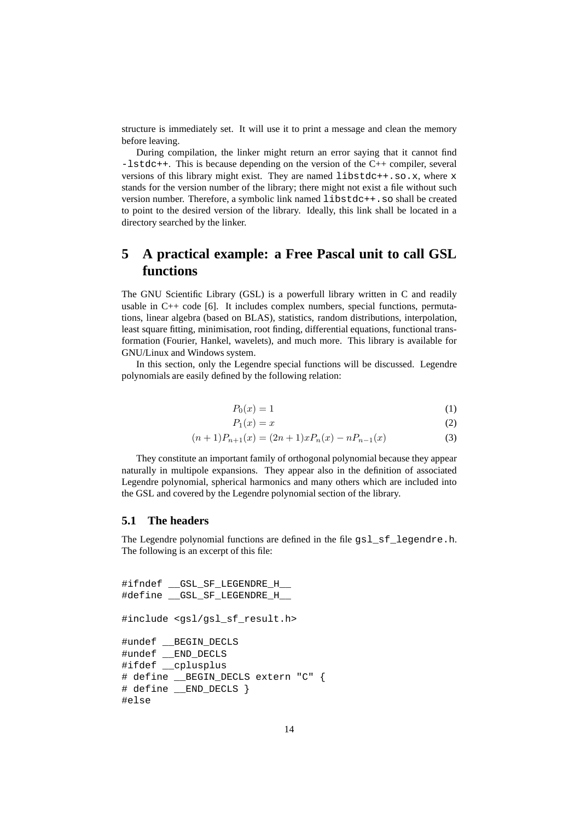structure is immediately set. It will use it to print a message and clean the memory before leaving.

During compilation, the linker might return an error saying that it cannot find -lstdc++. This is because depending on the version of the C++ compiler, several versions of this library might exist. They are named libstdc++.so.x, where x stands for the version number of the library; there might not exist a file without such version number. Therefore, a symbolic link named libstdc++.so shall be created to point to the desired version of the library. Ideally, this link shall be located in a directory searched by the linker.

# **5 A practical example: a Free Pascal unit to call GSL functions**

The GNU Scientific Library (GSL) is a powerfull library written in C and readily usable in  $C_{++}$  code [6]. It includes complex numbers, special functions, permutations, linear algebra (based on BLAS), statistics, random distributions, interpolation, least square fitting, minimisation, root finding, differential equations, functional transformation (Fourier, Hankel, wavelets), and much more. This library is available for GNU/Linux and Windows system.

In this section, only the Legendre special functions will be discussed. Legendre polynomials are easily defined by the following relation:

$$
P_0(x) = 1\tag{1}
$$

$$
P_1(x) = x \tag{2}
$$

$$
(n+1)P_{n+1}(x) = (2n+1)xP_n(x) - nP_{n-1}(x)
$$
\n(3)

They constitute an important family of orthogonal polynomial because they appear naturally in multipole expansions. They appear also in the definition of associated Legendre polynomial, spherical harmonics and many others which are included into the GSL and covered by the Legendre polynomial section of the library.

#### **5.1 The headers**

The Legendre polynomial functions are defined in the file gsl\_sf\_legendre.h. The following is an excerpt of this file:

```
#ifndef __GSL_SF_LEGENDRE_H__
#define __GSL_SF_LEGENDRE_H__
#include <gsl/gsl_sf_result.h>
#undef __BEGIN_DECLS
#undef __END_DECLS
#ifdef __cplusplus
# define __BEGIN_DECLS extern "C" {
# define __END_DECLS }
#else
```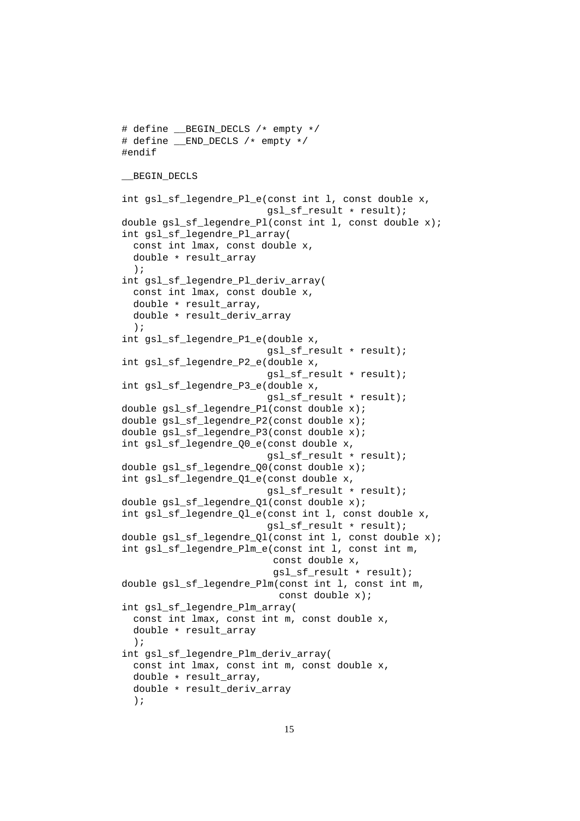```
# define __BEGIN_DECLS /* empty */
# define __END_DECLS /* empty */
#endif
__BEGIN_DECLS
int gsl_sf_legendre_Pl_e(const_int l, const double x,
                         gsl_sf_result * result);
double gsl_sf_legendre_Pl(const int l, const double x);
int gsl_sf_legendre_Pl_array(
  const int lmax, const double x,
 double * result_array
  );
int gsl_sf_legendre_Pl_deriv_array(
  const int lmax, const double x,
  double * result_array,
 double * result_deriv_array
  );
int gsl_sf_legendre_P1_e(double x,
                         gsl_sf_result * result);
int gsl_sf_legendre_P2_e(double x,
                         gsl_sf_result * result);
int gsl_sf_legendre_P3_e(double x,
                         gsl_sf_result * result);
double gsl_sf_legendre_P1(const double x);
double gsl_sf_legendre_P2(const double x);
double gsl_sf_legendre_P3(const double x);
int gsl_sf_legendre_Q0_e(const double x,
                         gsl_sf_result * result);
double gsl_sf_legendre_Q0(const double x);
int gsl_sf_legendre_Q1_e(const double x,
                         gsl_sf_result * result);
double gsl_sf_legendre_Q1(const double x);
int gsl_sf_legendre_Ql_e(const int l, const double x,
                         gsl_sf_result * result);
double gsl_sf_legendre_Ql(const int l, const double x);
int gsl_sf_legendre_Plm_e(const int l, const int m,
                          const double x,
                          gsl_sf_result * result);
double gsl_sf_legendre_Plm(const int l, const int m,
                           const double x);
int gsl_sf_legendre_Plm_array(
 const int lmax, const int m, const double x,
 double * result_array
  );
int gsl_sf_legendre_Plm_deriv_array(
  const int lmax, const int m, const double x,
 double * result_array,
 double * result_deriv_array
  );
```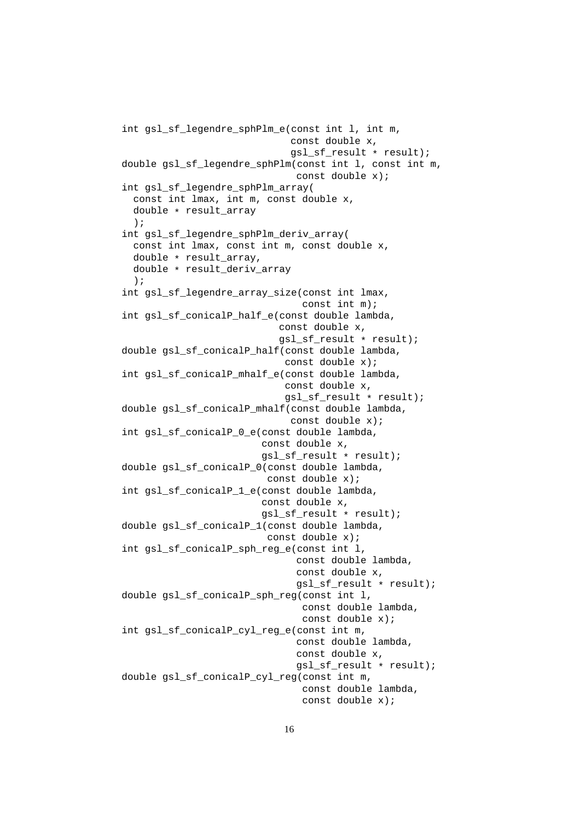```
int gsl_sf_legendre_sphPlm_e(const int l, int m,
                             const double x,
                             gsl_sf_result * result);
double gsl_sf_legendre_sphPlm(const int l, const int m,
                              const double x);
int gsl_sf_legendre_sphPlm_array(
 const int lmax, int m, const double x,
 double * result_array
  );
int gsl_sf_legendre_sphPlm_deriv_array(
  const int lmax, const int m, const double x,
  double * result_array,
 double * result_deriv_array
  );
int gsl_sf_legendre_array_size(const_int lmax,
                               const int m);
int gsl_sf_conicalP_half_e(const double lambda,
                           const double x,
                           gsl_sf_result * result);
double gsl_sf_conicalP_half(const double lambda,
                            const double x);
int gsl_sf_conicalP_mhalf_e(const double lambda,
                            const double x,
                            gsl_sf_result * result);
double gsl_sf_conicalP_mhalf(const double lambda,
                             const double x);
int gsl_sf_conicalP_0_e(const double lambda,
                        const double x,
                        gsl_sf_result * result);
double gsl_sf_conicalP_0(const double lambda,
                         const double x);
int gsl_sf_conicalP_1_e(const double lambda,
                        const double x,
                        gsl_sf_result * result);
double gsl_sf_conicalP_1(const double lambda,
                         const double x);
int gsl_sf_conicalP_sph_reg_e(const int l,
                              const double lambda,
                              const double x,
                              gsl_sf_result * result);
double gsl_sf_conicalP_sph_reg(const int l,
                               const double lambda,
                               const double x);
int gsl_sf_conicalP_cyl_reg_e(const int m,
                              const double lambda,
                              const double x,
                              gsl_sf_result * result);
double gsl_sf_conicalP_cyl_reg(const int m,
                               const double lambda,
                               const double x);
```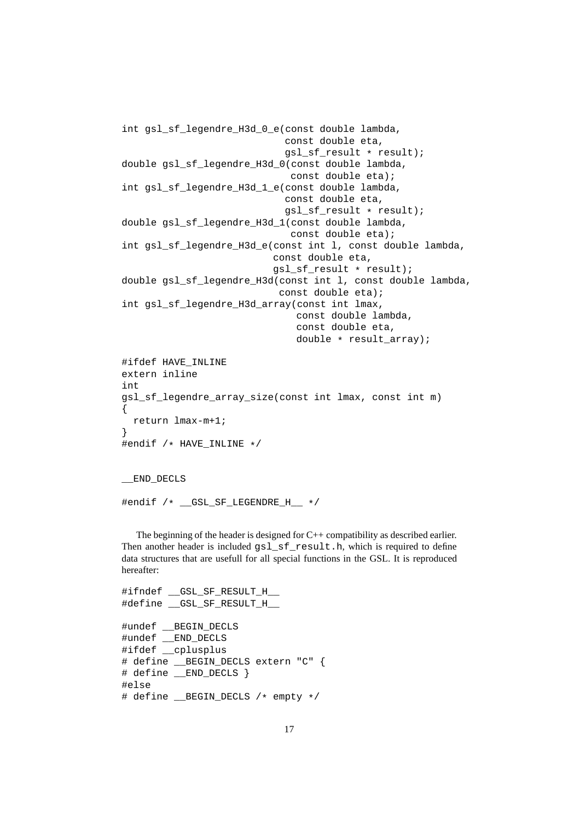```
int gsl_sf_legendre_H3d_0_e(const double lambda,
                             const double eta,
                             gsl_sf_result * result);
double gsl_sf_legendre_H3d_0(const double lambda,
                              const double eta);
int gsl_sf_legendre_H3d_1_e(const double lambda,
                             const double eta,
                             gsl_sf_result * result);
double gsl_sf_legendre_H3d_1(const double lambda,
                              const double eta);
int gsl_sf_legendre_H3d_e(const int l, const double lambda,
                           const double eta,
                           gsl_sf_result * result);
double gsl_sf_legendre_H3d(const int l, const double lambda,
                            const double eta);
int gsl_sf_legendre_H3d_array(const_int lmax,
                               const double lambda,
                               const double eta,
                               double * result array);
#ifdef HAVE_INLINE
extern inline
int
gsl_sf_legendre_array_size(const int lmax, const int m)
\left\{ \right.return lmax-m+1;
}
#endif /* HAVE_INLINE */
```
\_\_END\_DECLS

#endif /\* \_\_GSL\_SF\_LEGENDRE\_H\_\_ \*/

The beginning of the header is designed for  $C_{++}$  compatibility as described earlier. Then another header is included  $qslant$  sf result.h, which is required to define data structures that are usefull for all special functions in the GSL. It is reproduced hereafter:

```
#ifndef __GSL_SF_RESULT_H__
#define __GSL_SF_RESULT_H__
#undef __BEGIN_DECLS
#undef __END_DECLS
#ifdef __cplusplus
# define __BEGIN_DECLS extern "C" {
# define __END_DECLS }
#else
# define __BEGIN_DECLS /* empty */
```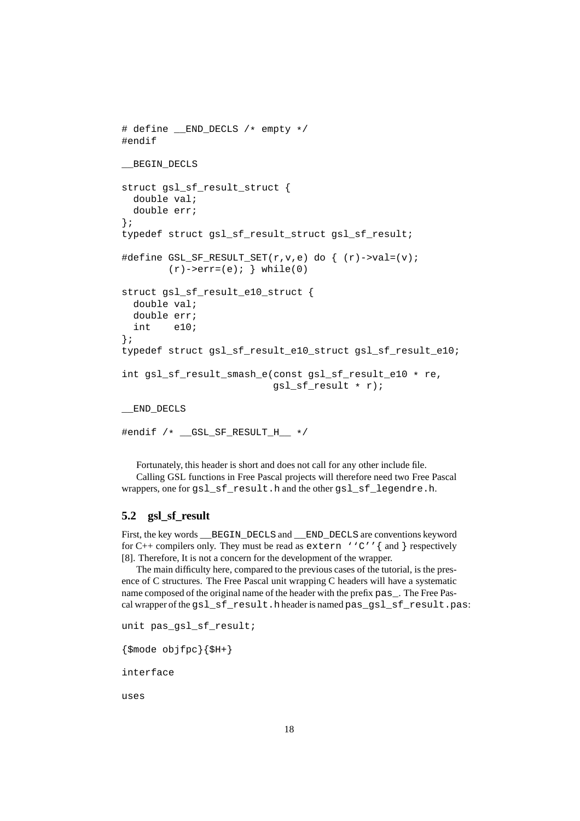```
# define __END_DECLS /* empty */
#endif
__BEGIN_DECLS
struct gsl_sf_result_struct {
 double val;
 double err;
};
typedef struct gsl_sf_result_struct gsl_sf_result;
#define GSL_SF_RESULT_SET(r,v,e) do { (r)->val=(v);
        (r)->err=(e); } while(0)
struct gsl_sf_result_e10_struct {
 double val;
 double err;
 int e10;
};
typedef struct gsl_sf_result_e10_struct gsl_sf_result_e10;
int gsl_sf_result_smash_e(const gsl_sf_result_e10 * re,
                          gsl_sf_result * r);
__END_DECLS
#endif /* __GSL_SF_RESULT_H__ */
```
Fortunately, this header is short and does not call for any other include file. Calling GSL functions in Free Pascal projects will therefore need two Free Pascal wrappers, one for gsl\_sf\_result.h and the other gsl\_sf\_legendre.h.

#### **5.2 gsl\_sf\_result**

First, the key words \_\_BEGIN\_DECLS and \_\_END\_DECLS are conventions keyword for C++ compilers only. They must be read as  $ext{error 'c''}$  and } respectively [8]. Therefore, It is not a concern for the development of the wrapper.

The main difficulty here, compared to the previous cases of the tutorial, is the presence of C structures. The Free Pascal unit wrapping C headers will have a systematic name composed of the original name of the header with the prefix pas . The Free Pascal wrapper of the gsl\_sf\_result.hheader is named pas\_gsl\_sf\_result.pas:

```
unit pas_gsl_sf_result;
```

```
{\mathfrak{S}}mode objfpc{\mathfrak{S}}H+{\mathfrak{S}}
```
interface

uses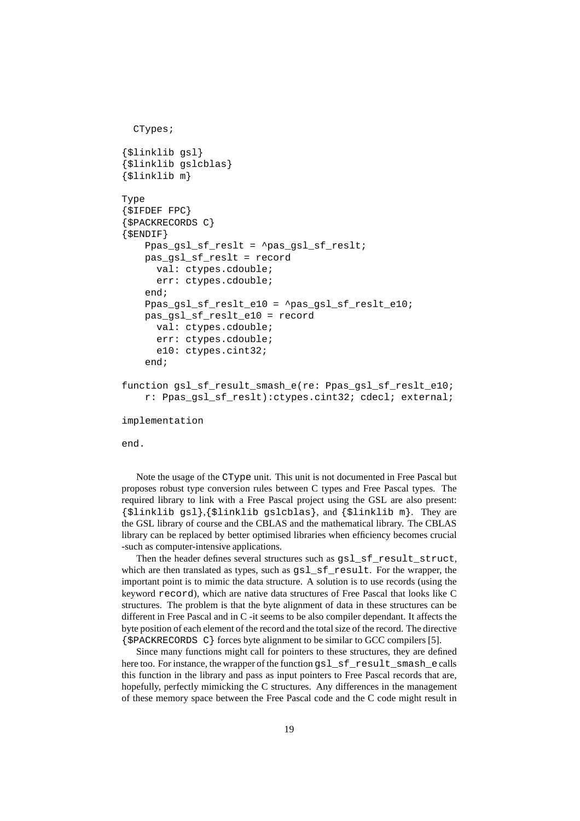```
CTypes;
{$linklib gsl}
{$linklib gslcblas}
{$linklib m}
Type
{$IFDEF FPC}
{$PACKRECORDS C}
\{$ENDIF\}Ppas_gsl_sf_reslt = ^pas_gsl_sf_reslt;
   pas_gsl_sf_reslt = record
      val: ctypes.cdouble;
      err: ctypes.cdouble;
    end;
    Ppas gsl_sf_reslt_e10 = ^pas_gsl_sf_reslt_e10;
   pas_gsl_sf_reslt_e10 = record
      val: ctypes.cdouble;
      err: ctypes.cdouble;
      e10: ctypes.cint32;
    end;
function gsl_sf_result_smash_e(re: Ppas_gsl_sf_reslt_e10;
    r: Ppas_gsl_sf_reslt):ctypes.cint32; cdecl; external;
implementation
```
end.

Note the usage of the CType unit. This unit is not documented in Free Pascal but proposes robust type conversion rules between C types and Free Pascal types. The required library to link with a Free Pascal project using the GSL are also present: {\$linklib gsl},{\$linklib gslcblas}, and {\$linklib m}. They are the GSL library of course and the CBLAS and the mathematical library. The CBLAS library can be replaced by better optimised libraries when efficiency becomes crucial -such as computer-intensive applications.

Then the header defines several structures such as qsl\_sf\_result\_struct, which are then translated as types, such as  $gsl_sfs_f$  result. For the wrapper, the important point is to mimic the data structure. A solution is to use records (using the keyword record), which are native data structures of Free Pascal that looks like C structures. The problem is that the byte alignment of data in these structures can be different in Free Pascal and in C -it seems to be also compiler dependant. It affects the byte position of each element of the record and the total size of the record. The directive {\$PACKRECORDS C} forces byte alignment to be similar to GCC compilers [5].

Since many functions might call for pointers to these structures, they are defined here too. For instance, the wrapper of the function gsl\_sf\_result\_smash\_ecalls this function in the library and pass as input pointers to Free Pascal records that are, hopefully, perfectly mimicking the C structures. Any differences in the management of these memory space between the Free Pascal code and the C code might result in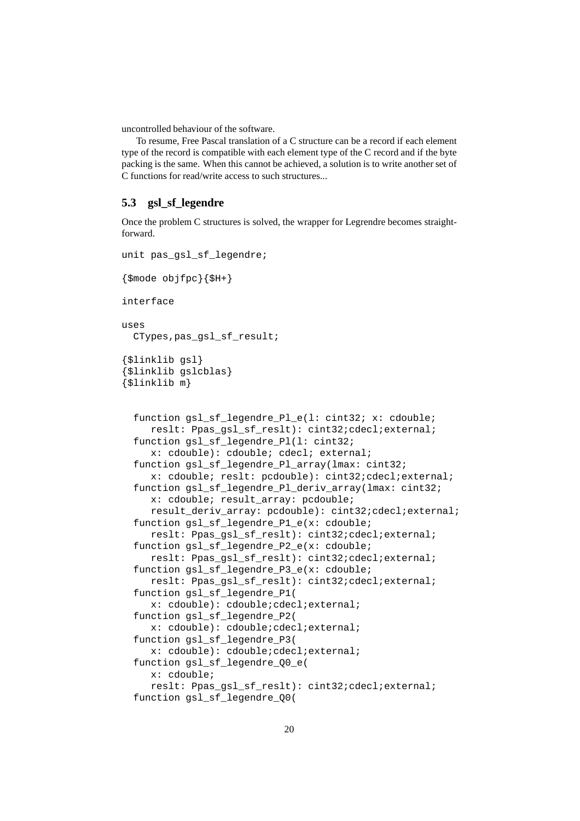uncontrolled behaviour of the software.

To resume, Free Pascal translation of a C structure can be a record if each element type of the record is compatible with each element type of the C record and if the byte packing is the same. When this cannot be achieved, a solution is to write another set of C functions for read/write access to such structures...

#### **5.3 gsl\_sf\_legendre**

Once the problem C structures is solved, the wrapper for Legrendre becomes straightforward.

```
unit pas_gsl_sf_legendre;
```

```
{\mathfrak{S}}mode objfpc{\mathfrak{S}}H+{\mathfrak{S}}interface
uses
 CTypes,pas_gsl_sf_result;
{$linklib gsl}
{$linklib gslcblas}
{$linklib m}
  function gsl_sf_legendre_Pl_e(l: cint32; x: cdouble;
     reslt: Ppas qsl sf reslt): cint32;cdecl;external;
  function gsl_sf_legendre_Pl(l: cint32;
     x: cdouble): cdouble; cdecl; external;
  function gsl_sf_legendre_Pl_array(lmax: cint32;
     x: cdouble; reslt: pcdouble): cint32;cdecl;external;
  function gsl_sf_legendre_Pl_deriv_array(lmax: cint32;
     x: cdouble; result_array: pcdouble;
     result_deriv_array: pcdouble): cint32;cdecl;external;
  function gsl_sf_legendre_P1_e(x: cdouble;
     reslt: Ppas_gsl_sf_reslt): cint32;cdecl;external;
  function gsl_sf_legendre_P2_e(x: cdouble;
     reslt: Ppas_gsl_sf_reslt): cint32;cdecl;external;
  function gsl_sf_legendre_P3_e(x: cdouble;
     reslt: Ppas_gsl_sf_reslt): cint32;cdecl;external;
  function gsl_sf_legendre_P1(
     x: cdouble): cdouble;cdecl;external;
  function gsl_sf_legendre_P2(
     x: cdouble): cdouble;cdecl;external;
  function gsl_sf_legendre_P3(
     x: cdouble): cdouble;cdecl;external;
  function gsl_sf_legendre_Q0_e(
     x: cdouble;
     reslt: Ppas_gsl_sf_reslt): cint32;cdecl;external;
  function gsl_sf_legendre_Q0(
```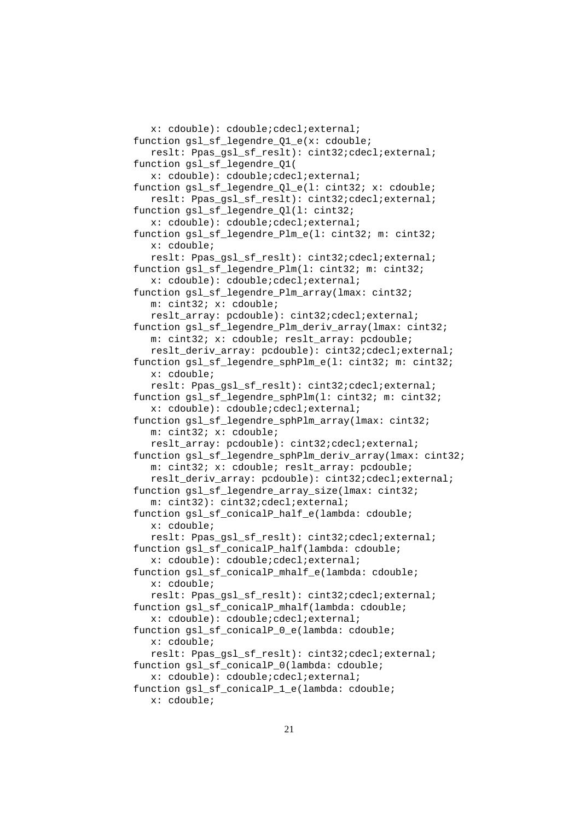```
x: cdouble): cdouble;cdecl;external;
function gsl_sf_legendre_Q1_e(x: cdouble;
   reslt: Ppas_gsl_sf_reslt): cint32;cdecl;external;
function gsl_sf_legendre_Q1(
  x: cdouble): cdouble;cdecl;external;
function gsl_sf_legendre_Ql_e(l: cint32; x: cdouble;
  reslt: Ppas qsl sf reslt): cint32;cdecl;external;
function gsl_sf_legendre_Ql(l: cint32;
   x: cdouble): cdouble;cdecl;external;
function gsl_sf_legendre_Plm_e(l: cint32; m: cint32;
   x: cdouble;
   reslt: Ppas gsl_sf_reslt): cint32;cdecl;external;
function gsl_sf_legendre_Plm(l: cint32; m: cint32;
   x: cdouble): cdouble;cdecl;external;
function gsl_sf_legendre_Plm_array(lmax: cint32;
  m: cint32; x: cdouble;
   reslt_array: pcdouble): cint32;cdecl;external;
function gsl_sf_legendre_Plm_deriv_array(lmax: cint32;
   m: cint32; x: cdouble; reslt array: pcdouble;
   reslt_deriv_array: pcdouble): cint32;cdecl;external;
function gsl_sf_legendre_sphPlm_e(l: cint32; m: cint32;
  x: cdouble;
  reslt: Ppas_gsl_sf_reslt): cint32;cdecl;external;
function gsl_sf_legendre_sphPlm(l: cint32; m: cint32;
   x: cdouble): cdouble;cdecl;external;
function gsl_sf_legendre_sphPlm_array(lmax: cint32;
  m: cint32; x: cdouble;
   reslt_array: pcdouble): cint32;cdecl;external;
function gsl_sf_legendre_sphPlm_deriv_array(lmax: cint32;
  m: cint32; x: cdouble; reslt_array: pcdouble;
  reslt_deriv_array: pcdouble): cint32;cdecl;external;
function gsl_sf_legendre_array_size(lmax: cint32;
  m: cint32): cint32;cdecl;external;
function gsl_sf_conicalP_half_e(lambda: cdouble;
  x: cdouble;
   reslt: Ppas_gsl_sf_reslt): cint32;cdecl;external;
function gsl_sf_conicalP_half(lambda: cdouble;
  x: cdouble): cdouble;cdecl;external;
function gsl_sf_conicalP_mhalf_e(lambda: cdouble;
  x: cdouble;
   reslt: Ppas_gsl_sf_reslt): cint32;cdecl;external;
function gsl_sf_conicalP_mhalf(lambda: cdouble;
   x: cdouble): cdouble;cdecl;external;
function gsl_sf_conicalP_0_e(lambda: cdouble;
  x: cdouble;
  reslt: Ppas_gsl_sf_reslt): cint32;cdecl;external;
function gsl_sf_conicalP_0(lambda: cdouble;
   x: cdouble): cdouble;cdecl;external;
function gsl_sf_conicalP_1_e(lambda: cdouble;
  x: cdouble;
```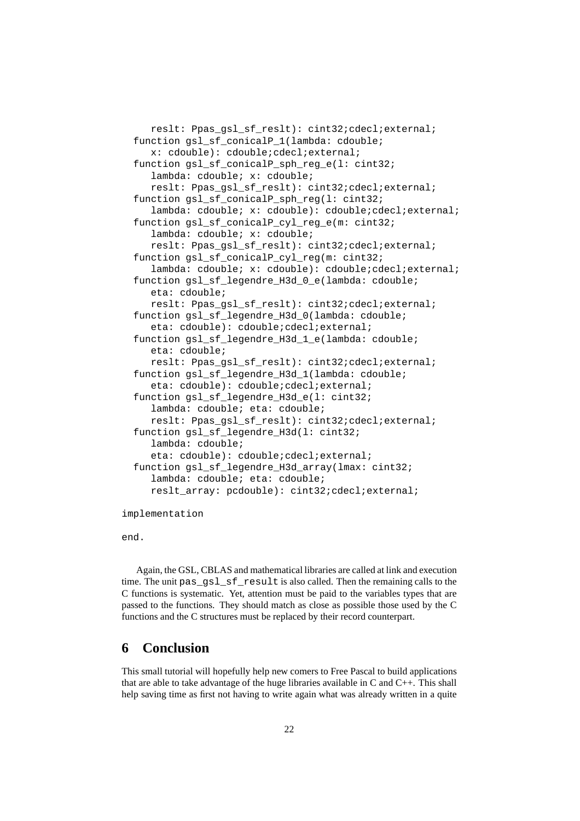```
reslt: Ppas_gsl_sf_reslt): cint32;cdecl;external;
function gsl_sf_conicalP_1(lambda: cdouble;
   x: cdouble): cdouble;cdecl;external;
function gsl_sf_conicalP_sph_reg_e(l: cint32;
   lambda: cdouble; x: cdouble;
   reslt: Ppas_gsl_sf_reslt): cint32;cdecl;external;
function gsl_sf_conicalP_sph_reg(l: cint32;
   lambda: cdouble; x: cdouble): cdouble;cdecl;external;
function gsl_sf_conicalP_cyl_reg_e(m: cint32;
   lambda: cdouble; x: cdouble;
   reslt: Ppas_gsl_sf_reslt): cint32;cdecl;external;
function gsl_sf_conicalP_cyl_reg(m: cint32;
   lambda: cdouble; x: cdouble): cdouble; cdecl; external;
function gsl_sf_legendre_H3d_0_e(lambda: cdouble;
   eta: cdouble;
   reslt: Ppas gsl_sf_reslt): cint32;cdecl;external;
function gsl_sf_legendre_H3d_0(lambda: cdouble;
   eta: cdouble): cdouble; cdecl; external;
function gsl_sf_legendre_H3d_1_e(lambda: cdouble;
   eta: cdouble;
   reslt: Ppas_gsl_sf_reslt): cint32;cdecl;external;
function gsl_sf_legendre_H3d_1(lambda: cdouble;
   eta: cdouble): cdouble; cdecl; external;
function gsl_sf_legendre_H3d_e(l: cint32;
   lambda: cdouble; eta: cdouble;
   reslt: Ppas_gsl_sf_reslt): cint32;cdecl;external;
function gsl_sf_legendre_H3d(l: cint32;
   lambda: cdouble;
   eta: cdouble): cdouble; cdecl; external;
function gsl_sf_legendre_H3d_array(lmax: cint32;
   lambda: cdouble; eta: cdouble;
   reslt array: pcdouble): cint32;cdecl;external;
```
implementation

end.

Again, the GSL, CBLAS and mathematical libraries are called at link and execution time. The unit pas\_gsl\_sf\_result is also called. Then the remaining calls to the C functions is systematic. Yet, attention must be paid to the variables types that are passed to the functions. They should match as close as possible those used by the C functions and the C structures must be replaced by their record counterpart.

# **6 Conclusion**

This small tutorial will hopefully help new comers to Free Pascal to build applications that are able to take advantage of the huge libraries available in  $C$  and  $C_{++}$ . This shall help saving time as first not having to write again what was already written in a quite